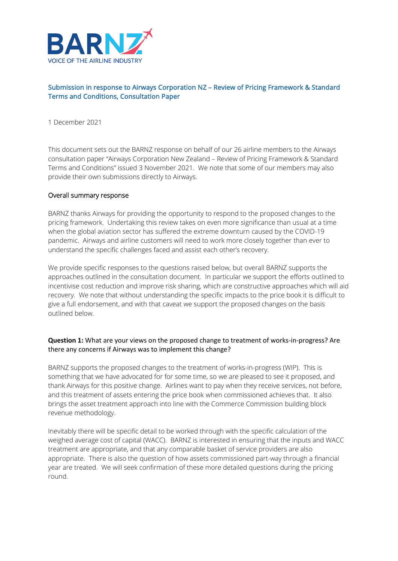

## Submission in response to Airways Corporation NZ – Review of Pricing Framework & Standard Terms and Conditions, Consultation Paper

#### 1 December 2021

This document sets out the BARNZ response on behalf of our 26 airline members to the Airways consultation paper "Airways Corporation New Zealand – Review of Pricing Framework & Standard Terms and Conditions" issued 3 November 2021. We note that some of our members may also provide their own submissions directly to Airways.

#### Overall summary response

BARNZ thanks Airways for providing the opportunity to respond to the proposed changes to the pricing framework. Undertaking this review takes on even more significance than usual at a time when the global aviation sector has suffered the extreme downturn caused by the COVID-19 pandemic. Airways and airline customers will need to work more closely together than ever to understand the specific challenges faced and assist each other's recovery.

We provide specific responses to the questions raised below, but overall BARNZ supports the approaches outlined in the consultation document. In particular we support the efforts outlined to incentivise cost reduction and improve risk sharing, which are constructive approaches which will aid recovery. We note that without understanding the specific impacts to the price book it is difficult to give a full endorsement, and with that caveat we support the proposed changes on the basis outlined below.

#### **Question 1:** What are your views on the proposed change to treatment of works-in-progress? Are there any concerns if Airways was to implement this change?

BARNZ supports the proposed changes to the treatment of works-in-progress (WIP). This is something that we have advocated for for some time, so we are pleased to see it proposed, and thank Airways for this positive change. Airlines want to pay when they receive services, not before, and this treatment of assets entering the price book when commissioned achieves that. It also brings the asset treatment approach into line with the Commerce Commission building block revenue methodology.

Inevitably there will be specific detail to be worked through with the specific calculation of the weighed average cost of capital (WACC). BARNZ is interested in ensuring that the inputs and WACC treatment are appropriate, and that any comparable basket of service providers are also appropriate. There is also the question of how assets commissioned part-way through a financial year are treated. We will seek confirmation of these more detailed questions during the pricing round.